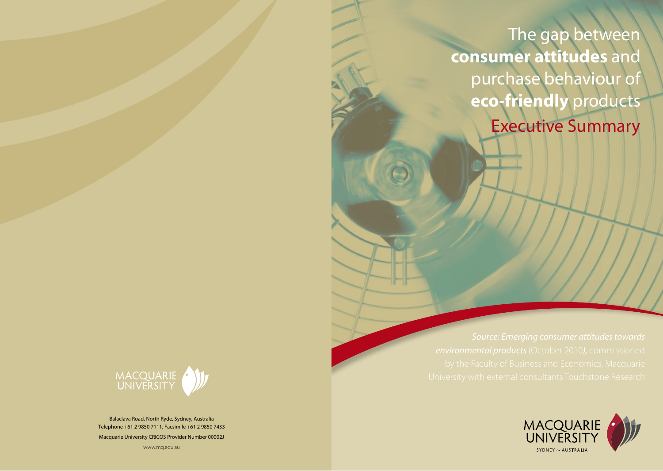The gap between **consumer attitudes** and purchase behaviour of **eco-friendly** products Executive Summary





Balaclava Road, North Ryde, Sydney, Australia Telephone +61 2 9850 7111, Facsimile +61 2 9850 7433 Macquarie University CRICOS Provider Number 00002J

www.mq.edu.au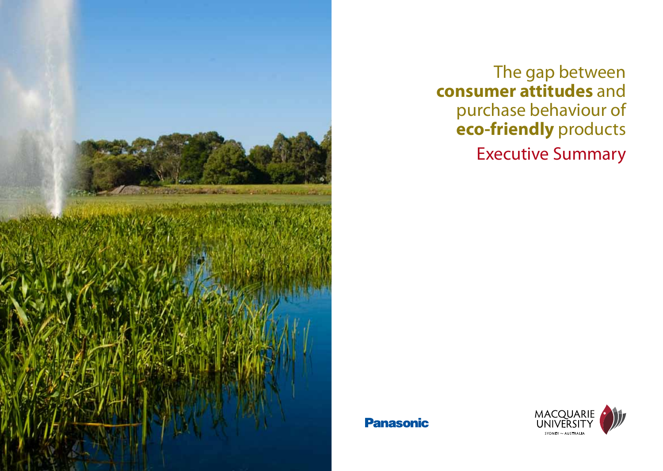

# The gap between **consumer attitudes** and purchase behaviour of **eco-friendly** products Executive Summary

### **Panasonic**

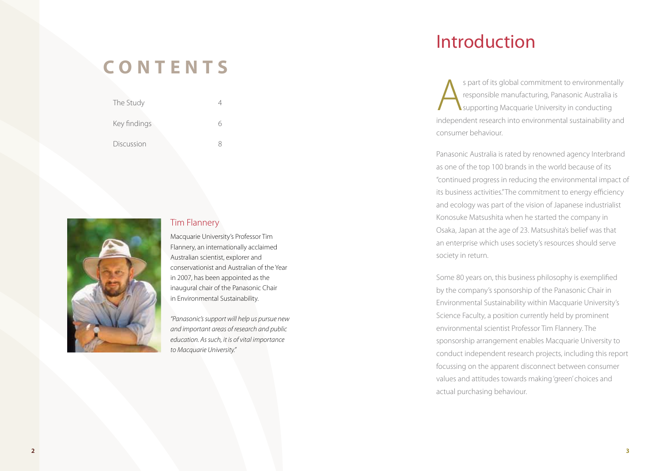## **C O N T E N T S**

| The Study    |  |
|--------------|--|
| Key findings |  |
| Discussion   |  |



#### Tim Flannery

Macquarie University's Professor Tim Flannery, an internationally acclaimed Australian scientist, explorer and conservationist and Australian of the Year in 2007, has been appointed as the inaugural chair of the Panasonic Chair in Environmental Sustainability.

*"Panasonic's support will help us pursue new and important areas of research and public education. As such, it is of vital importance to Macquarie University."*

## Introduction

s part of its global commitment to environmentally<br>responsible manufacturing, Panasonic Australia is<br>supporting Macquarie University in conducting<br>independent recease into an imaginately sustainability and responsible manufacturing, Panasonic Australia is supporting Macquarie University in conducting independent research into environmental sustainability and consumer behaviour.

Panasonic Australia is rated by renowned agency Interbrand as one of the top 100 brands in the world because of its "continued progress in reducing the environmental impact of its business activities." The commitment to energy efficiency and ecology was part of the vision of Japanese industrialist Konosuke Matsushita when he started the company in Osaka, Japan at the age of 23. Matsushita's belief was that an enterprise which uses society's resources should serve society in return.

Some 80 years on, this business philosophy is exemplified by the company's sponsorship of the Panasonic Chair in Environmental Sustainability within Macquarie University's Science Faculty, a position currently held by prominent environmental scientist Professor Tim Flannery. The sponsorship arrangement enables Macquarie University to conduct independent research projects, including this report focussing on the apparent disconnect between consumer values and attitudes towards making 'green' choices and actual purchasing behaviour.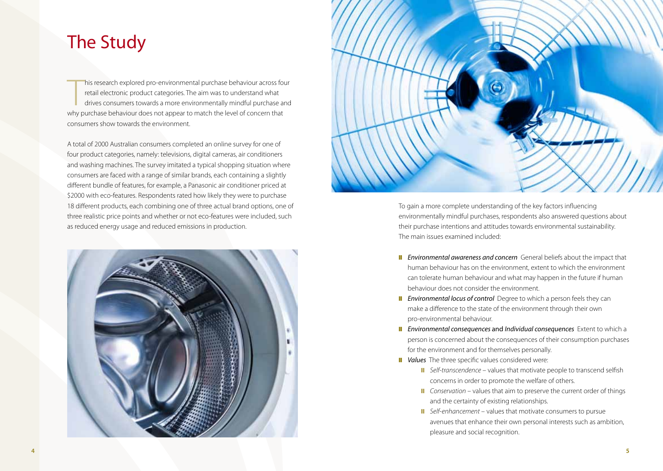### The Study

his research explored pro-environmental purchase behaviour across for retail electronic product categories. The aim was to understand what drives consumers towards a more environmentally mindful purchase and why purchase b his research explored pro-environmental purchase behaviour across four retail electronic product categories. The aim was to understand what drives consumers towards a more environmentally mindful purchase and consumers show towards the environment.

A total of 2000 Australian consumers completed an online survey for one of four product categories, namely: televisions, digital cameras, air conditioners and washing machines. The survey imitated a typical shopping situation where consumers are faced with a range of similar brands, each containing a slightly different bundle of features, for example, a Panasonic air conditioner priced at \$2000 with eco-features. Respondents rated how likely they were to purchase 18 different products, each combining one of three actual brand options, one of three realistic price points and whether or not eco-features were included, such as reduced energy usage and reduced emissions in production.





To gain a more complete understanding of the key factors influencing environmentally mindful purchases, respondents also answered questions about their purchase intentions and attitudes towards environmental sustainability. The main issues examined included:

- **II** *Environmental awareness and concern* General beliefs about the impact that human behaviour has on the environment, extent to which the environment can tolerate human behaviour and what may happen in the future if human behaviour does not consider the environment.
- **II** *Environmental locus of control* Degree to which a person feels they can make a difference to the state of the environment through their own pro-environmental behaviour.
- **II** *Environmental consequences* and *Individual consequences* Extent to which a person is concerned about the consequences of their consumption purchases for the environment and for themselves personally.
- **II** Values The three specific values considered were:
	- **Ⅱ** *Self-transcendence* values that motivate people to transcend selfish concerns in order to promote the welfare of others.
	- *Conservation* values that aim to preserve the current order of things and the certainty of existing relationships.
	- ❙❙ *Self-enhancement* values that motivate consumers to pursue avenues that enhance their own personal interests such as ambition, pleasure and social recognition.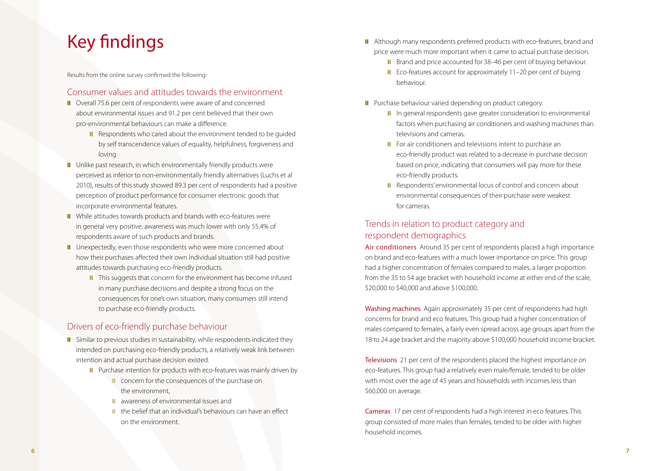# Key findings

Results from the online survey confirmed the following:

#### Consumer values and attitudes towards the environment

- **Ⅱ** Overall 75.6 per cent of respondents were aware of and concerned about environmental issues and 91.2 per cent believed that their own pro-environmental behaviours can make a difference.
	- **Ⅱ** Respondents who cared about the environment tended to be quided by self transcendence values of equality, helpfulness, forgiveness and loving.
- **Ⅱ** Unlike past research, in which environmentally friendly products were perceived as inferior to non-environmentally friendly alternatives (Luchs et al 2010), results of this study showed 89.3 per cent of respondents had a positive perception of product performance for consumer electronic goods that incorporate environmental features.
- While attitudes towards products and brands with eco-features were in general very positive, awareness was much lower with only 55.4% of respondents aware of such products and brands.
- **Ⅱ** Unexpectedly, even those respondents who were more concerned about how their purchases affected their own individual situation still had positive attitudes towards purchasing eco-friendly products.
	- **Ⅱ** This suggests that concern for the environment has become infused in many purchase decisions and despite a strong focus on the consequences for one's own situation, many consumers still intend to purchase eco-friendly products.

### Drivers of eco-friendly purchase behaviour

- **II** Similar to previous studies in sustainability, while respondents indicated they intended on purchasing eco-friendly products, a relatively weak link between intention and actual purchase decision existed.
	- **Ⅱ** Purchase intention for products with eco-features was mainly driven by
		- concern for the consequences of the purchase on the environment,
		- ❙❙ awareness of environmental issues and
		- the belief that an individual's behaviours can have an effect on the environment.
- **Ⅱ** Although many respondents preferred products with eco-features, brand and price were much more important when it came to actual purchase decision.
	- **Ⅱ** Brand and price accounted for 38–46 per cent of buying behaviour.
	- **Ⅱ** Eco-features account for approximately 11–20 per cent of buying behaviour.
- **Ⅱ** Purchase behaviour varied depending on product category.
	- **Ⅱ** In general respondents gave greater consideration to environmental factors when purchasing air conditioners and washing machines than televisions and cameras.
	- **Ⅱ** For air conditioners and televisions intent to purchase an eco-friendly product was related to a decrease in purchase decision based on price, indicating that consumers will pay more for these eco-friendly products.
	- Respondents' environmental locus of control and concern about environmental consequences of their purchase were weakest for cameras.

### Trends in relation to product category and respondent demographics

Air conditioners Around 35 per cent of respondents placed a high importance on brand and eco-features with a much lower importance on price. This group had a higher concentration of females compared to males, a larger proportion from the 35 to 54 age bracket with household income at either end of the scale, \$20,000 to \$40,000 and above \$100,000.

Washing machines Again approximately 35 per cent of respondents had high concerns for brand and eco features. This group had a higher concentration of males compared to females, a fairly even spread across age groups apart from the 18 to 24 age bracket and the majority above \$100,000 household income bracket.

Televisions 21 per cent of the respondents placed the highest importance on eco-features. This group had a relatively even male/female, tended to be older with most over the age of 45 years and households with incomes less than \$60,000 on average.

Cameras 17 per cent of respondents had a high interest in eco features. This group consisted of more males than females, tended to be older with higher household incomes.